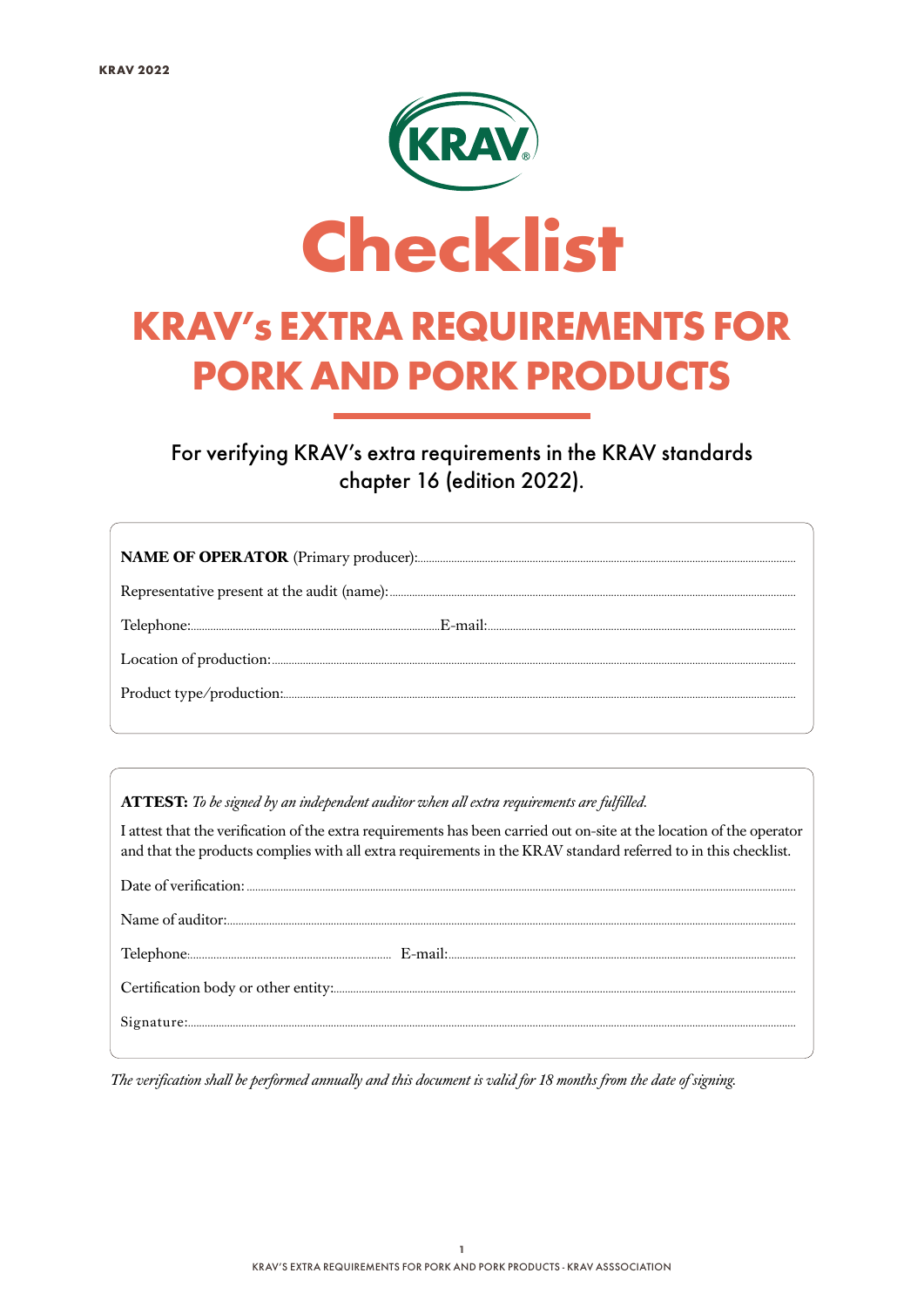

For verifying KRAV's extra requirements in the KRAV standards chapter 16 (edition 2022).

ATTEST: To be signed by an independent auditor when all extra requirements are fulfilled.

I attest that the verification of the extra requirements has been carried out on-site at the location of the operator and that the products complies with all extra requirements in the KRAV standard referred to in this checklist.

| ${\bf Signature} \, .$ |
|------------------------|
|                        |

The verification shall be performed annually and this document is valid for 18 months from the date of signing.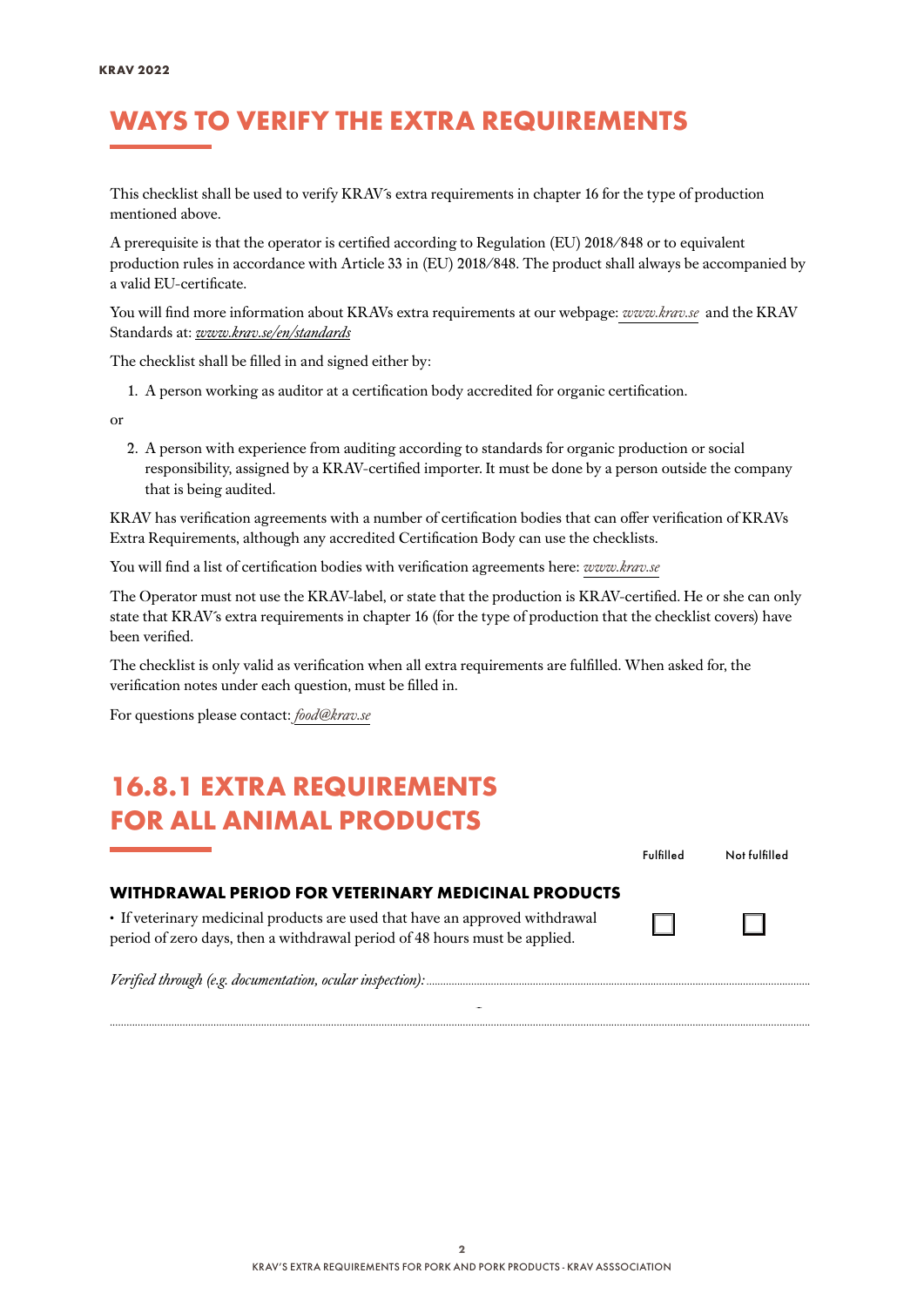#### WAYS TO VERIFY THE EXTRA REQUIREMENTS

This checklist shall be used to verify KRAV´s extra requirements in chapter 16 for the type of production mentioned above.

A prerequisite is that the operator is certified according to Regulation (EU) 2018/848 or to equivalent production rules in accordance with Article 33 in (EU) 2018/848. The product shall always be accompanied by a valid EU-certificate.

You will find more information about KRAVs extra requirements at our webpage: *[www.krav.se](www.krav.se/en/for-companies/extra-requirements-for-all-products/)* and the KRAV Standards at: *[www.krav.se/en/standards](https://www.krav.se/en/standards)*

The checklist shall be filled in and signed either by:

1. A person working as auditor at a certification body accredited for organic certification.

or

2. A person with experience from auditing according to standards for organic production or social responsibility, assigned by a KRAV-certified importer. It must be done by a person outside the company that is being audited.

KRAV has verification agreements with a number of certification bodies that can offer verification of KRAVs Extra Requirements, although any accredited Certification Body can use the checklists.

You will find a list of certification bodies with verification agreements here: *[www.krav.se](https://www.krav.se/en/asset/certification-bodies-with-verification-agreement/)*

The Operator must not use the KRAV-label, or state that the production is KRAV-certified. He or she can only state that KRAV´s extra requirements in chapter 16 (for the type of production that the checklist covers) have been verified.

The checklist is only valid as verification when all extra requirements are fulfilled. When asked for, the verification notes under each question, must be filled in.

For questions please contact: *[food@krav.se](mailto:food%40krav.se?subject=From%20extra%20requirements)*

#### 16.8.1 EXTRA REQUIREMENTS FOR ALL ANIMAL PRODUCTS

|                                                                                                                                                            | Fulfilled | Not fulfilled |  |
|------------------------------------------------------------------------------------------------------------------------------------------------------------|-----------|---------------|--|
| WITHDRAWAL PERIOD FOR VETERINARY MEDICINAL PRODUCTS                                                                                                        |           |               |  |
| • If veterinary medicinal products are used that have an approved withdrawal<br>period of zero days, then a withdrawal period of 48 hours must be applied. |           |               |  |
|                                                                                                                                                            |           |               |  |

*..........................................................................................................................................................................................................................................................*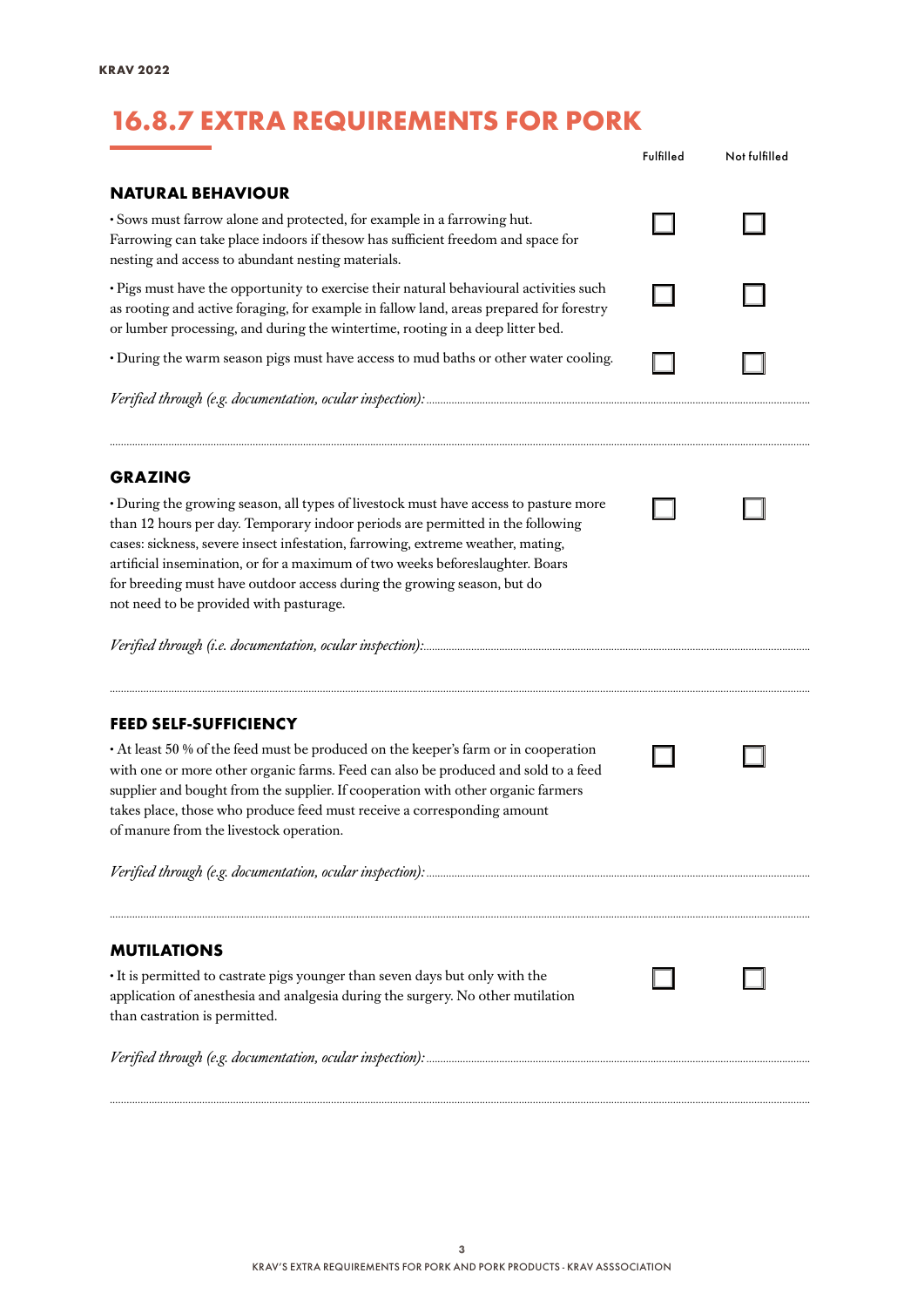## 16.8.7 EXTRA REQUIREMENTS FOR PORK

|                                                                                                                                                                                                                                                                                                                                                                                                                                                                  | Fulfilled | Not fulfilled |
|------------------------------------------------------------------------------------------------------------------------------------------------------------------------------------------------------------------------------------------------------------------------------------------------------------------------------------------------------------------------------------------------------------------------------------------------------------------|-----------|---------------|
| <b>NATURAL BEHAVIOUR</b>                                                                                                                                                                                                                                                                                                                                                                                                                                         |           |               |
| · Sows must farrow alone and protected, for example in a farrowing hut.<br>Farrowing can take place indoors if thesow has sufficient freedom and space for<br>nesting and access to abundant nesting materials.                                                                                                                                                                                                                                                  |           |               |
| · Pigs must have the opportunity to exercise their natural behavioural activities such<br>as rooting and active foraging, for example in fallow land, areas prepared for forestry<br>or lumber processing, and during the wintertime, rooting in a deep litter bed.                                                                                                                                                                                              |           |               |
| · During the warm season pigs must have access to mud baths or other water cooling.                                                                                                                                                                                                                                                                                                                                                                              |           |               |
|                                                                                                                                                                                                                                                                                                                                                                                                                                                                  |           |               |
| <b>GRAZING</b>                                                                                                                                                                                                                                                                                                                                                                                                                                                   |           |               |
| • During the growing season, all types of livestock must have access to pasture more<br>than 12 hours per day. Temporary indoor periods are permitted in the following<br>cases: sickness, severe insect infestation, farrowing, extreme weather, mating,<br>artificial insemination, or for a maximum of two weeks beforeslaughter. Boars<br>for breeding must have outdoor access during the growing season, but do<br>not need to be provided with pasturage. |           |               |
|                                                                                                                                                                                                                                                                                                                                                                                                                                                                  |           |               |
| <b>FEED SELF-SUFFICIENCY</b>                                                                                                                                                                                                                                                                                                                                                                                                                                     |           |               |
| • At least 50 % of the feed must be produced on the keeper's farm or in cooperation<br>with one or more other organic farms. Feed can also be produced and sold to a feed<br>supplier and bought from the supplier. If cooperation with other organic farmers<br>takes place, those who produce feed must receive a corresponding amount<br>of manure from the livestock operation.                                                                              |           |               |
|                                                                                                                                                                                                                                                                                                                                                                                                                                                                  |           |               |
| <b>MUTILATIONS</b>                                                                                                                                                                                                                                                                                                                                                                                                                                               |           |               |
| • It is permitted to castrate pigs younger than seven days but only with the<br>application of anesthesia and analgesia during the surgery. No other mutilation<br>than castration is permitted.                                                                                                                                                                                                                                                                 |           |               |
|                                                                                                                                                                                                                                                                                                                                                                                                                                                                  |           |               |
|                                                                                                                                                                                                                                                                                                                                                                                                                                                                  |           |               |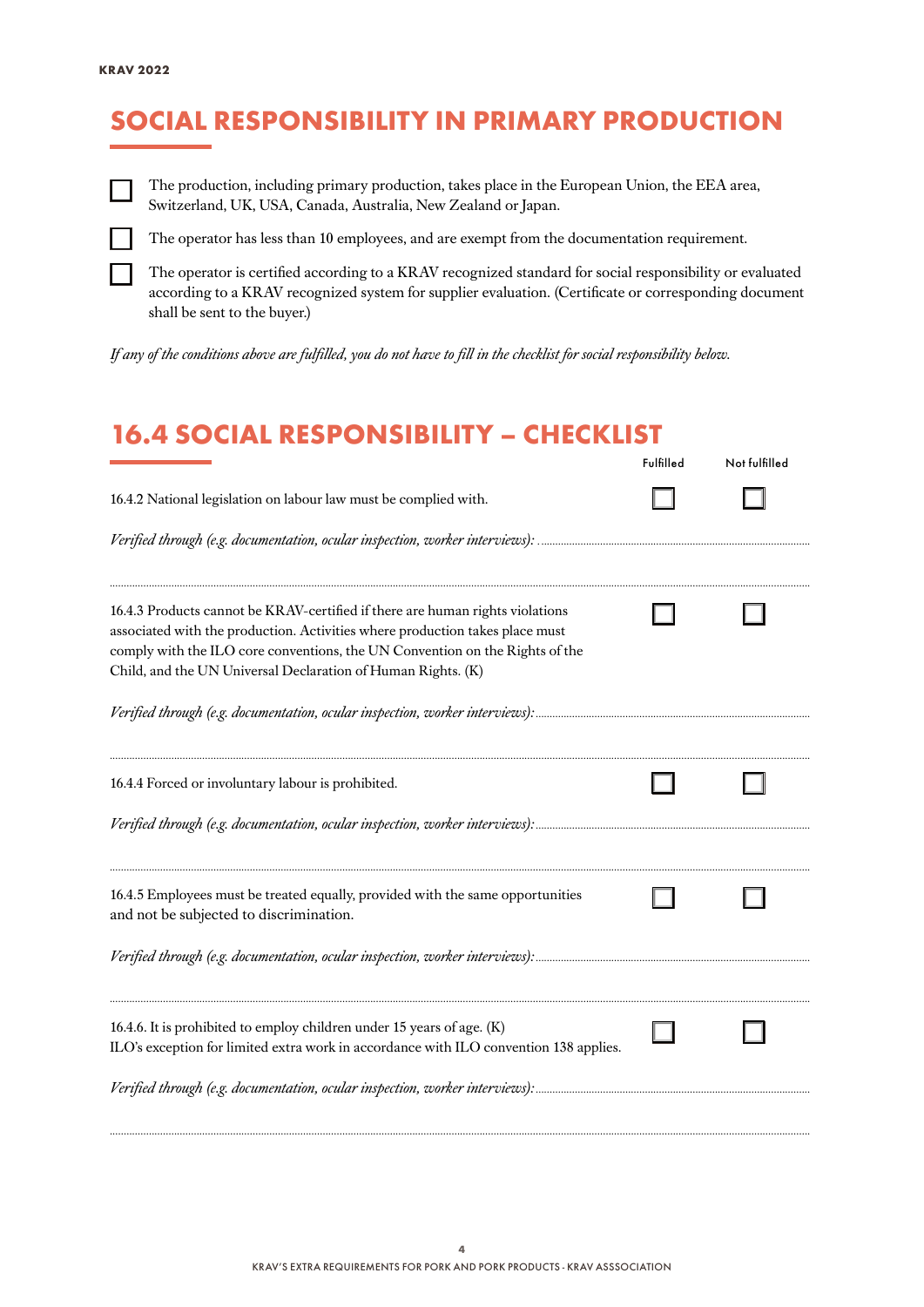## SOCIAL RESPONSIBILITY IN PRIMARY PRODUCTION



The production, including primary production, takes place in the European Union, the EEA area, Switzerland, UK, USA, Canada, Australia, New Zealand or Japan.



The operator has less than 10 employees, and are exempt from the documentation requirement.

The operator is certified according to a KRAV recognized standard for social responsibility or evaluated according to a KRAV recognized system for supplier evaluation. (Certificate or corresponding document shall be sent to the buyer.)

*If any of the conditions above are fulfilled, you do not have to fill in the checklist for social responsibility below.*

#### 16.4 SOCIAL RESPONSIBILITY – CHECKLIST

|                                                                                                                                                                                                                                                                                                               | Fulfilled | Not fulfilled |
|---------------------------------------------------------------------------------------------------------------------------------------------------------------------------------------------------------------------------------------------------------------------------------------------------------------|-----------|---------------|
| 16.4.2 National legislation on labour law must be complied with.                                                                                                                                                                                                                                              |           |               |
|                                                                                                                                                                                                                                                                                                               |           |               |
| 16.4.3 Products cannot be KRAV-certified if there are human rights violations<br>associated with the production. Activities where production takes place must<br>comply with the ILO core conventions, the UN Convention on the Rights of the<br>Child, and the UN Universal Declaration of Human Rights. (K) |           |               |
|                                                                                                                                                                                                                                                                                                               |           |               |
| 16.4.4 Forced or involuntary labour is prohibited.                                                                                                                                                                                                                                                            |           |               |
|                                                                                                                                                                                                                                                                                                               |           |               |
| 16.4.5 Employees must be treated equally, provided with the same opportunities<br>and not be subjected to discrimination.                                                                                                                                                                                     |           |               |
|                                                                                                                                                                                                                                                                                                               |           |               |
| 16.4.6. It is prohibited to employ children under 15 years of age. (K)<br>ILO's exception for limited extra work in accordance with ILO convention 138 applies.                                                                                                                                               |           |               |
| Verified through (e.g. documentation, ocular inspection, worker interviews):                                                                                                                                                                                                                                  |           |               |

*..........................................................................................................................................................................................................................................................*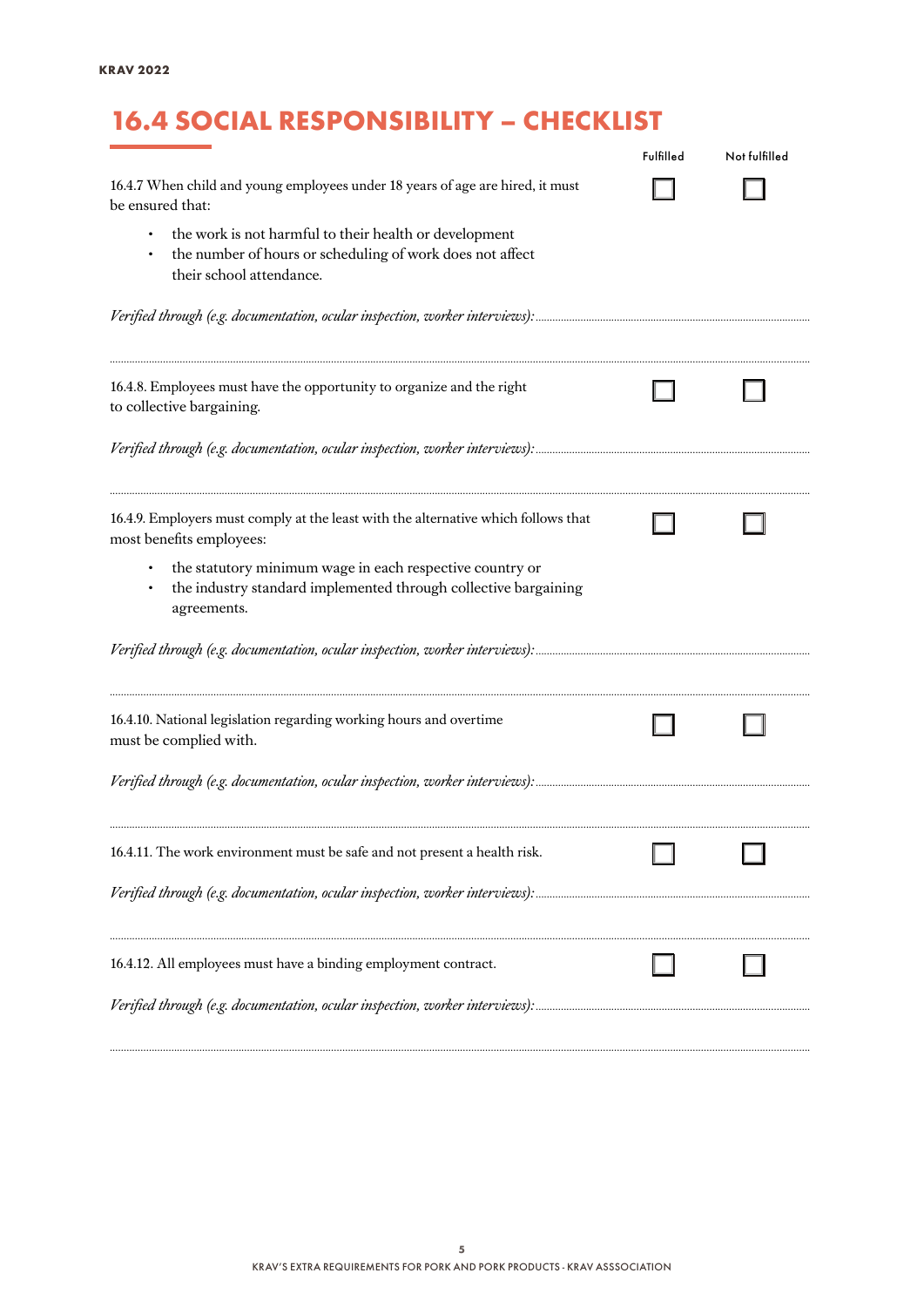# 16.4 SOCIAL RESPONSIBILITY – CHECKLIST

|                                                                                                                                                 | Fulfilled | Not fulfilled |
|-------------------------------------------------------------------------------------------------------------------------------------------------|-----------|---------------|
| 16.4.7 When child and young employees under 18 years of age are hired, it must<br>be ensured that:                                              |           |               |
| the work is not harmful to their health or development<br>the number of hours or scheduling of work does not affect<br>their school attendance. |           |               |
|                                                                                                                                                 |           |               |
| 16.4.8. Employees must have the opportunity to organize and the right<br>to collective bargaining.                                              |           |               |
|                                                                                                                                                 |           |               |
| 16.4.9. Employers must comply at the least with the alternative which follows that<br>most benefits employees:                                  |           |               |
| the statutory minimum wage in each respective country or<br>the industry standard implemented through collective bargaining<br>agreements.      |           |               |
|                                                                                                                                                 |           |               |
| 16.4.10. National legislation regarding working hours and overtime<br>must be complied with.                                                    |           |               |
|                                                                                                                                                 |           |               |
| 16.4.11. The work environment must be safe and not present a health risk.                                                                       |           |               |
|                                                                                                                                                 |           |               |
| 16.4.12. All employees must have a binding employment contract.                                                                                 |           |               |
|                                                                                                                                                 |           |               |

*..........................................................................................................................................................................................................................................................*